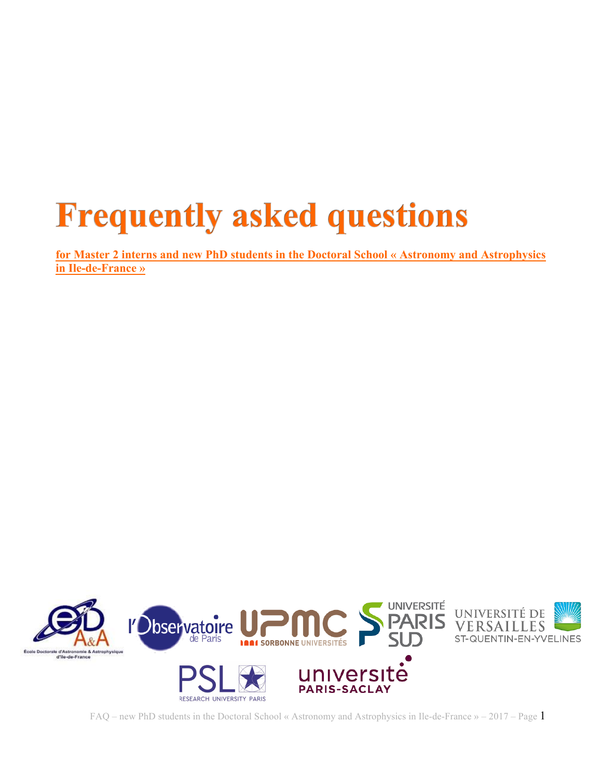# **Frequently asked questions**

**for Master 2 interns and new PhD students in the Doctoral School « Astronomy and Astrophysics in Ile-de-France »**



FAQ – new PhD students in the Doctoral School « Astronomy and Astrophysics in Ile-de-France » – 2017 – Page 1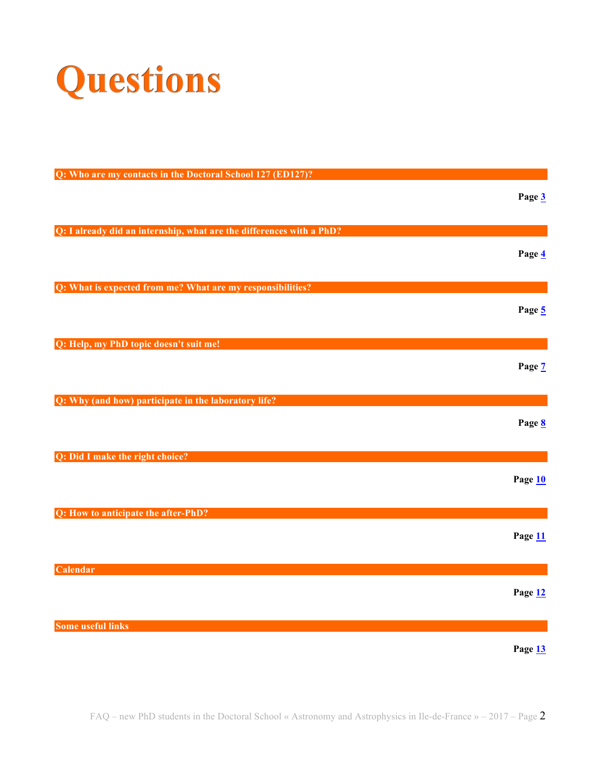

| Q: Who are my contacts in the Doctoral School 127 (ED127)?           |         |
|----------------------------------------------------------------------|---------|
|                                                                      | Page 3  |
|                                                                      |         |
| Q: I already did an internship, what are the differences with a PhD? |         |
|                                                                      | Page 4  |
|                                                                      |         |
| Q: What is expected from me? What are my responsibilities?           |         |
|                                                                      | Page 5  |
|                                                                      |         |
| Q: Help, my PhD topic doesn't suit me!                               |         |
|                                                                      | Page 7  |
|                                                                      |         |
| Q: Why (and how) participate in the laboratory life?                 |         |
|                                                                      | Page 8  |
|                                                                      |         |
| Q: Did I make the right choice?                                      |         |
|                                                                      | Page 10 |
|                                                                      |         |
| Q: How to anticipate the after-PhD?                                  |         |
|                                                                      | Page 11 |
|                                                                      |         |
| Calendar                                                             |         |
|                                                                      | Page 12 |
|                                                                      |         |
| <b>Some useful links</b>                                             |         |
|                                                                      | Page 13 |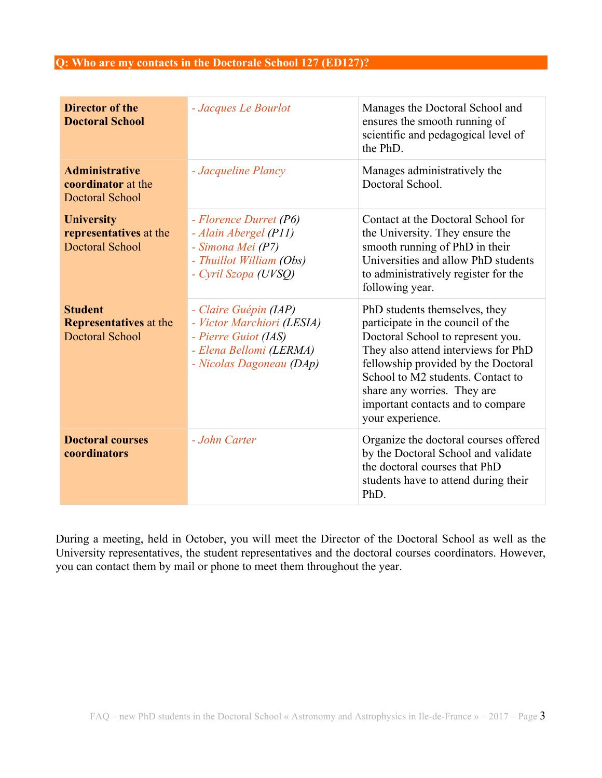## **Q: Who are my contacts in the Doctorale School 127 (ED127)?**

| <b>Director of the</b><br><b>Doctoral School</b>                          | - Jacques Le Bourlot                                                                                                               | Manages the Doctoral School and<br>ensures the smooth running of<br>scientific and pedagogical level of<br>the PhD.                                                                                                                                                                                                |
|---------------------------------------------------------------------------|------------------------------------------------------------------------------------------------------------------------------------|--------------------------------------------------------------------------------------------------------------------------------------------------------------------------------------------------------------------------------------------------------------------------------------------------------------------|
| <b>Administrative</b><br>coordinator at the<br><b>Doctoral School</b>     | - Jacqueline Plancy                                                                                                                | Manages administratively the<br>Doctoral School.                                                                                                                                                                                                                                                                   |
| <b>University</b><br>representatives at the<br><b>Doctoral School</b>     | - Florence Durret (P6)<br>- Alain Abergel (P11)<br>- Simona Mei (P7)<br>- Thuillot William (Obs)<br>- Cyril Szopa (UVSQ)           | Contact at the Doctoral School for<br>the University. They ensure the<br>smooth running of PhD in their<br>Universities and allow PhD students<br>to administratively register for the<br>following year.                                                                                                          |
| <b>Student</b><br><b>Representatives at the</b><br><b>Doctoral School</b> | - Claire Guépin (IAP)<br>- Victor Marchiori (LESIA)<br>- Pierre Guiot (IAS)<br>- Elena Bellomi (LERMA)<br>- Nicolas Dagoneau (DAp) | PhD students themselves, they<br>participate in the council of the<br>Doctoral School to represent you.<br>They also attend interviews for PhD<br>fellowship provided by the Doctoral<br>School to M2 students. Contact to<br>share any worries. They are<br>important contacts and to compare<br>your experience. |
| <b>Doctoral courses</b><br>coordinators                                   | - John Carter                                                                                                                      | Organize the doctoral courses offered<br>by the Doctoral School and validate<br>the doctoral courses that PhD<br>students have to attend during their<br>PhD.                                                                                                                                                      |

During a meeting, held in October, you will meet the Director of the Doctoral School as well as the University representatives, the student representatives and the doctoral courses coordinators. However, you can contact them by mail or phone to meet them throughout the year.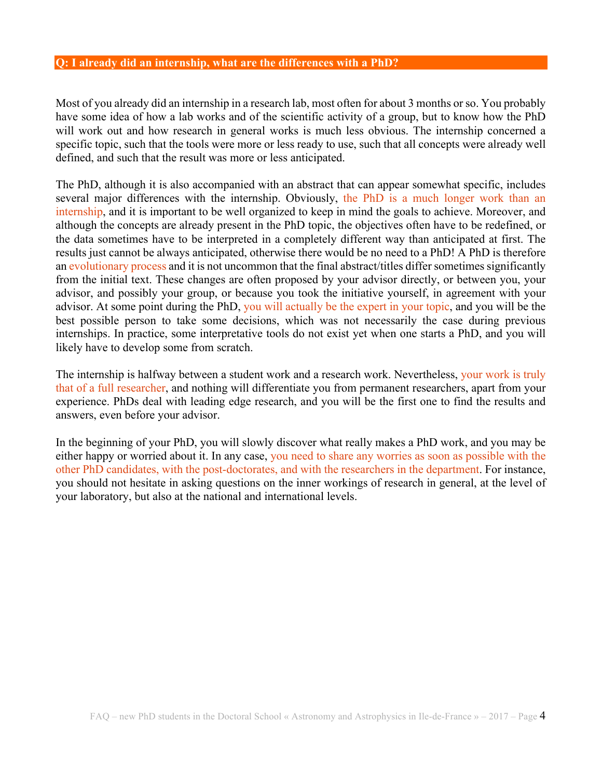#### **Q: I already did an internship, what are the differences with a PhD?**

Most of you already did an internship in a research lab, most often for about 3 months or so. You probably have some idea of how a lab works and of the scientific activity of a group, but to know how the PhD will work out and how research in general works is much less obvious. The internship concerned a specific topic, such that the tools were more or less ready to use, such that all concepts were already well defined, and such that the result was more or less anticipated.

The PhD, although it is also accompanied with an abstract that can appear somewhat specific, includes several major differences with the internship. Obviously, the PhD is a much longer work than an internship, and it is important to be well organized to keep in mind the goals to achieve. Moreover, and although the concepts are already present in the PhD topic, the objectives often have to be redefined, or the data sometimes have to be interpreted in a completely different way than anticipated at first. The results just cannot be always anticipated, otherwise there would be no need to a PhD! A PhD is therefore an evolutionary process and it is not uncommon that the final abstract/titles differ sometimes significantly from the initial text. These changes are often proposed by your advisor directly, or between you, your advisor, and possibly your group, or because you took the initiative yourself, in agreement with your advisor. At some point during the PhD, you will actually be the expert in your topic, and you will be the best possible person to take some decisions, which was not necessarily the case during previous internships. In practice, some interpretative tools do not exist yet when one starts a PhD, and you will likely have to develop some from scratch.

The internship is halfway between a student work and a research work. Nevertheless, your work is truly that of a full researcher, and nothing will differentiate you from permanent researchers, apart from your experience. PhDs deal with leading edge research, and you will be the first one to find the results and answers, even before your advisor.

In the beginning of your PhD, you will slowly discover what really makes a PhD work, and you may be either happy or worried about it. In any case, you need to share any worries as soon as possible with the other PhD candidates, with the post-doctorates, and with the researchers in the department. For instance, you should not hesitate in asking questions on the inner workings of research in general, at the level of your laboratory, but also at the national and international levels.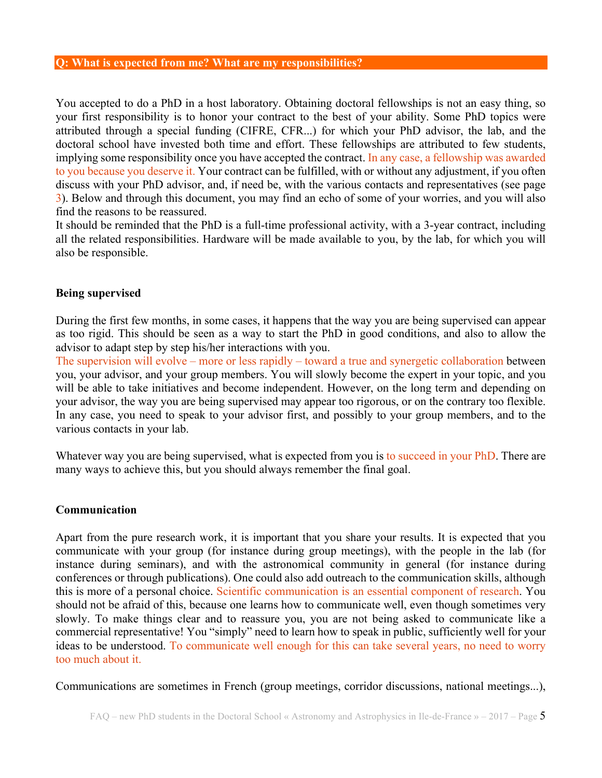#### **Q: What is expected from me? What are my responsibilities?**

You accepted to do a PhD in a host laboratory. Obtaining doctoral fellowships is not an easy thing, so your first responsibility is to honor your contract to the best of your ability. Some PhD topics were attributed through a special funding (CIFRE, CFR...) for which your PhD advisor, the lab, and the doctoral school have invested both time and effort. These fellowships are attributed to few students, implying some responsibility once you have accepted the contract. In any case, a fellowship was awarded to you because you deserve it. Your contract can be fulfilled, with or without any adjustment, if you often discuss with your PhD advisor, and, if need be, with the various contacts and representatives (see page 3). Below and through this document, you may find an echo of some of your worries, and you will also find the reasons to be reassured.

It should be reminded that the PhD is a full-time professional activity, with a 3-year contract, including all the related responsibilities. Hardware will be made available to you, by the lab, for which you will also be responsible.

### **Being supervised**

During the first few months, in some cases, it happens that the way you are being supervised can appear as too rigid. This should be seen as a way to start the PhD in good conditions, and also to allow the advisor to adapt step by step his/her interactions with you.

The supervision will evolve – more or less rapidly – toward a true and synergetic collaboration between you, your advisor, and your group members. You will slowly become the expert in your topic, and you will be able to take initiatives and become independent. However, on the long term and depending on your advisor, the way you are being supervised may appear too rigorous, or on the contrary too flexible. In any case, you need to speak to your advisor first, and possibly to your group members, and to the various contacts in your lab.

Whatever way you are being supervised, what is expected from you is to succeed in your PhD. There are many ways to achieve this, but you should always remember the final goal.

#### **Communication**

Apart from the pure research work, it is important that you share your results. It is expected that you communicate with your group (for instance during group meetings), with the people in the lab (for instance during seminars), and with the astronomical community in general (for instance during conferences or through publications). One could also add outreach to the communication skills, although this is more of a personal choice. Scientific communication is an essential component of research. You should not be afraid of this, because one learns how to communicate well, even though sometimes very slowly. To make things clear and to reassure you, you are not being asked to communicate like a commercial representative! You "simply" need to learn how to speak in public, sufficiently well for your ideas to be understood. To communicate well enough for this can take several years, no need to worry too much about it.

Communications are sometimes in French (group meetings, corridor discussions, national meetings...),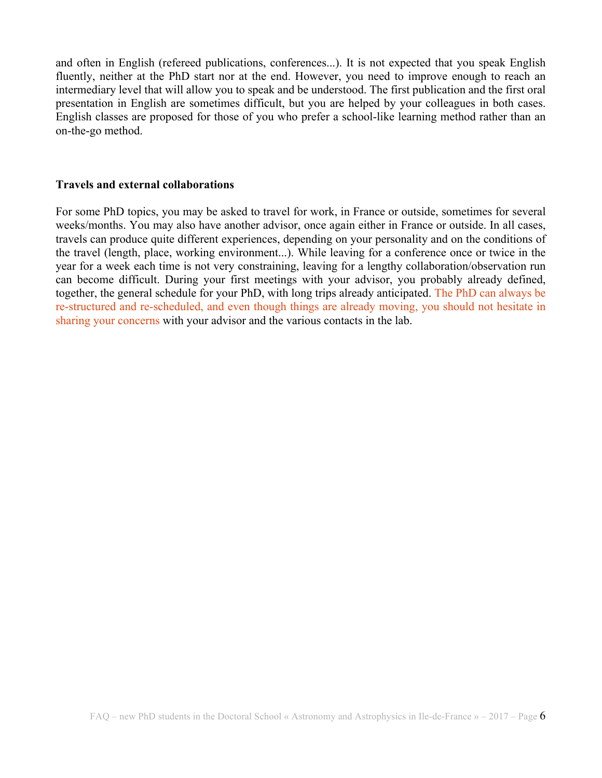and often in English (refereed publications, conferences...). It is not expected that you speak English fluently, neither at the PhD start nor at the end. However, you need to improve enough to reach an intermediary level that will allow you to speak and be understood. The first publication and the first oral presentation in English are sometimes difficult, but you are helped by your colleagues in both cases. English classes are proposed for those of you who prefer a school-like learning method rather than an on-the-go method.

### **Travels and external collaborations**

For some PhD topics, you may be asked to travel for work, in France or outside, sometimes for several weeks/months. You may also have another advisor, once again either in France or outside. In all cases, travels can produce quite different experiences, depending on your personality and on the conditions of the travel (length, place, working environment...). While leaving for a conference once or twice in the year for a week each time is not very constraining, leaving for a lengthy collaboration/observation run can become difficult. During your first meetings with your advisor, you probably already defined, together, the general schedule for your PhD, with long trips already anticipated. The PhD can always be re-structured and re-scheduled, and even though things are already moving, you should not hesitate in sharing your concerns with your advisor and the various contacts in the lab.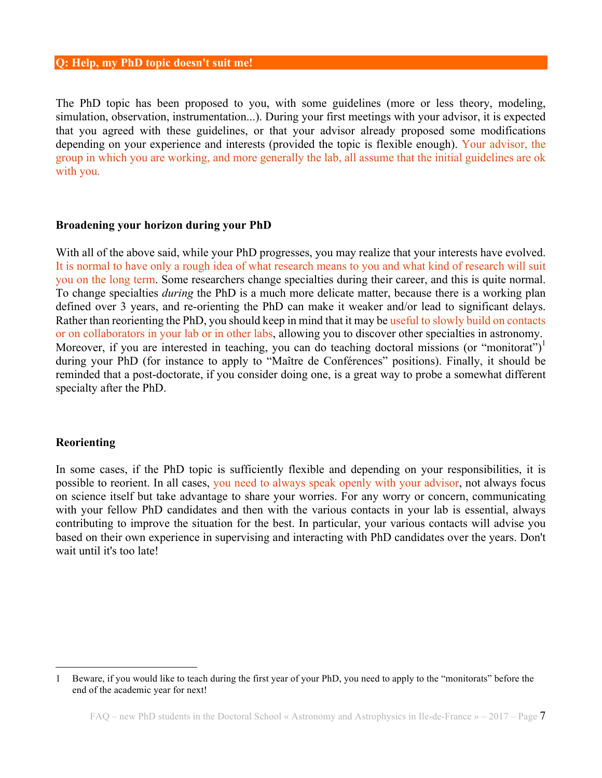#### **Q: Help, my PhD topic doesn't suit me!**

The PhD topic has been proposed to you, with some guidelines (more or less theory, modeling, simulation, observation, instrumentation...). During your first meetings with your advisor, it is expected that you agreed with these guidelines, or that your advisor already proposed some modifications depending on your experience and interests (provided the topic is flexible enough). Your advisor, the group in which you are working, and more generally the lab, all assume that the initial guidelines are ok with you.

#### **Broadening your horizon during your PhD**

With all of the above said, while your PhD progresses, you may realize that your interests have evolved. It is normal to have only a rough idea of what research means to you and what kind of research will suit you on the long term. Some researchers change specialties during their career, and this is quite normal. To change specialties *during* the PhD is a much more delicate matter, because there is a working plan defined over 3 years, and re-orienting the PhD can make it weaker and/or lead to significant delays. Rather than reorienting the PhD, you should keep in mind that it may be useful to slowly build on contacts or on collaborators in your lab or in other labs, allowing you to discover other specialties in astronomy. Moreover, if you are interested in teaching, you can do teaching doctoral missions (or "monitorat")<sup>1</sup> during your PhD (for instance to apply to "Maître de Conférences" positions). Finally, it should be reminded that a post-doctorate, if you consider doing one, is a great way to probe a somewhat different specialty after the PhD.

### **Reorienting**

In some cases, if the PhD topic is sufficiently flexible and depending on your responsibilities, it is possible to reorient. In all cases, you need to always speak openly with your advisor, not always focus on science itself but take advantage to share your worries. For any worry or concern, communicating with your fellow PhD candidates and then with the various contacts in your lab is essential, always contributing to improve the situation for the best. In particular, your various contacts will advise you based on their own experience in supervising and interacting with PhD candidates over the years. Don't wait until it's too late!

 <sup>1</sup> Beware, if you would like to teach during the first year of your PhD, you need to apply to the "monitorats" before the end of the academic year for next!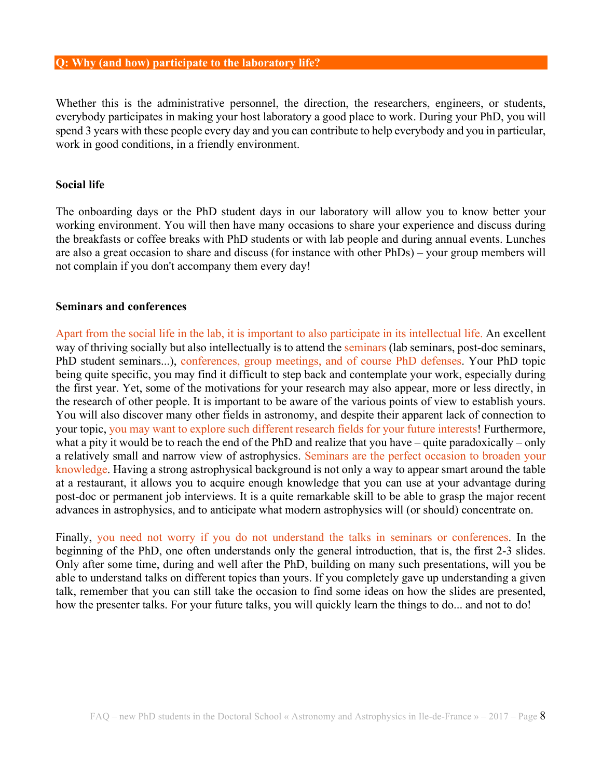#### **Q: Why (and how) participate to the laboratory life?**

Whether this is the administrative personnel, the direction, the researchers, engineers, or students, everybody participates in making your host laboratory a good place to work. During your PhD, you will spend 3 years with these people every day and you can contribute to help everybody and you in particular, work in good conditions, in a friendly environment.

#### **Social life**

The onboarding days or the PhD student days in our laboratory will allow you to know better your working environment. You will then have many occasions to share your experience and discuss during the breakfasts or coffee breaks with PhD students or with lab people and during annual events. Lunches are also a great occasion to share and discuss (for instance with other PhDs) – your group members will not complain if you don't accompany them every day!

#### **Seminars and conferences**

Apart from the social life in the lab, it is important to also participate in its intellectual life. An excellent way of thriving socially but also intellectually is to attend the seminars (lab seminars, post-doc seminars, PhD student seminars...), conferences, group meetings, and of course PhD defenses. Your PhD topic being quite specific, you may find it difficult to step back and contemplate your work, especially during the first year. Yet, some of the motivations for your research may also appear, more or less directly, in the research of other people. It is important to be aware of the various points of view to establish yours. You will also discover many other fields in astronomy, and despite their apparent lack of connection to your topic, you may want to explore such different research fields for your future interests! Furthermore, what a pity it would be to reach the end of the PhD and realize that you have – quite paradoxically – only a relatively small and narrow view of astrophysics. Seminars are the perfect occasion to broaden your knowledge. Having a strong astrophysical background is not only a way to appear smart around the table at a restaurant, it allows you to acquire enough knowledge that you can use at your advantage during post-doc or permanent job interviews. It is a quite remarkable skill to be able to grasp the major recent advances in astrophysics, and to anticipate what modern astrophysics will (or should) concentrate on.

Finally, you need not worry if you do not understand the talks in seminars or conferences. In the beginning of the PhD, one often understands only the general introduction, that is, the first 2-3 slides. Only after some time, during and well after the PhD, building on many such presentations, will you be able to understand talks on different topics than yours. If you completely gave up understanding a given talk, remember that you can still take the occasion to find some ideas on how the slides are presented, how the presenter talks. For your future talks, you will quickly learn the things to do... and not to do!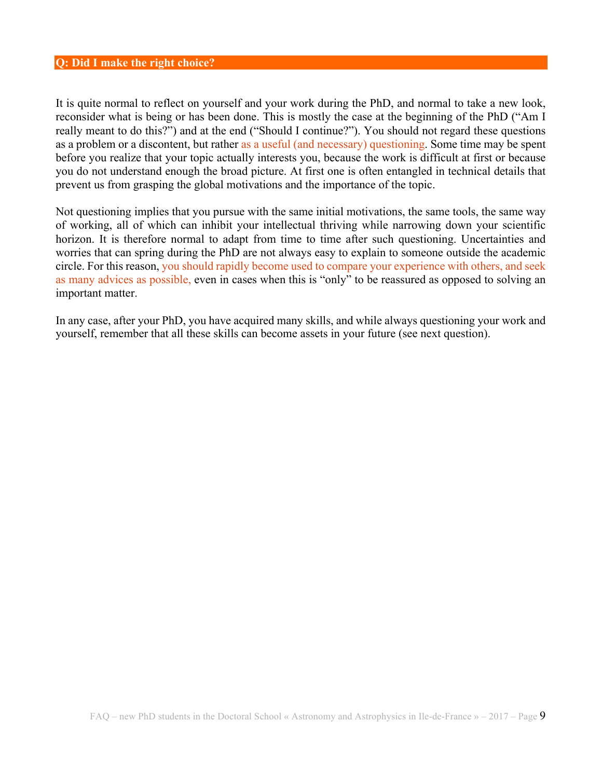#### **Q: Did I make the right choice?**

It is quite normal to reflect on yourself and your work during the PhD, and normal to take a new look, reconsider what is being or has been done. This is mostly the case at the beginning of the PhD ("Am I really meant to do this?") and at the end ("Should I continue?"). You should not regard these questions as a problem or a discontent, but rather as a useful (and necessary) questioning. Some time may be spent before you realize that your topic actually interests you, because the work is difficult at first or because you do not understand enough the broad picture. At first one is often entangled in technical details that prevent us from grasping the global motivations and the importance of the topic.

Not questioning implies that you pursue with the same initial motivations, the same tools, the same way of working, all of which can inhibit your intellectual thriving while narrowing down your scientific horizon. It is therefore normal to adapt from time to time after such questioning. Uncertainties and worries that can spring during the PhD are not always easy to explain to someone outside the academic circle. For this reason, you should rapidly become used to compare your experience with others, and seek as many advices as possible, even in cases when this is "only" to be reassured as opposed to solving an important matter.

In any case, after your PhD, you have acquired many skills, and while always questioning your work and yourself, remember that all these skills can become assets in your future (see next question).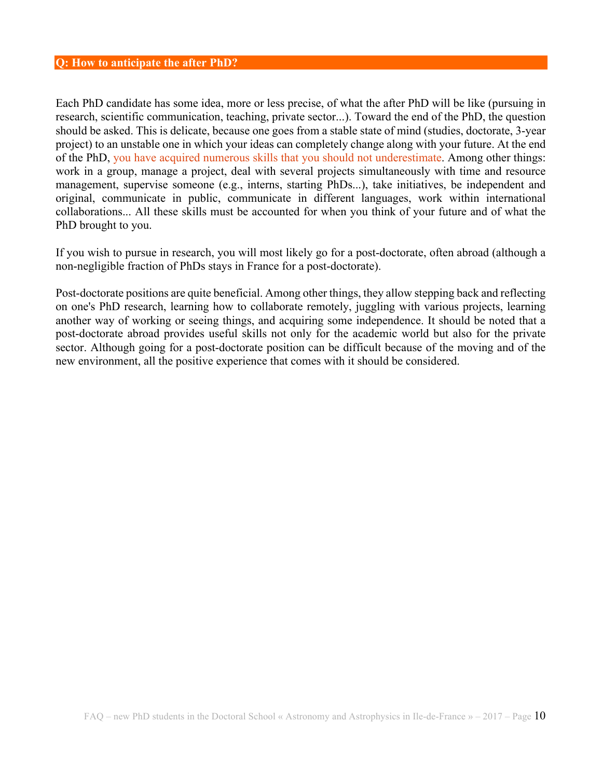Each PhD candidate has some idea, more or less precise, of what the after PhD will be like (pursuing in research, scientific communication, teaching, private sector...). Toward the end of the PhD, the question should be asked. This is delicate, because one goes from a stable state of mind (studies, doctorate, 3-year project) to an unstable one in which your ideas can completely change along with your future. At the end of the PhD, you have acquired numerous skills that you should not underestimate. Among other things: work in a group, manage a project, deal with several projects simultaneously with time and resource management, supervise someone (e.g., interns, starting PhDs...), take initiatives, be independent and original, communicate in public, communicate in different languages, work within international collaborations... All these skills must be accounted for when you think of your future and of what the PhD brought to you.

If you wish to pursue in research, you will most likely go for a post-doctorate, often abroad (although a non-negligible fraction of PhDs stays in France for a post-doctorate).

Post-doctorate positions are quite beneficial. Among other things, they allow stepping back and reflecting on one's PhD research, learning how to collaborate remotely, juggling with various projects, learning another way of working or seeing things, and acquiring some independence. It should be noted that a post-doctorate abroad provides useful skills not only for the academic world but also for the private sector. Although going for a post-doctorate position can be difficult because of the moving and of the new environment, all the positive experience that comes with it should be considered.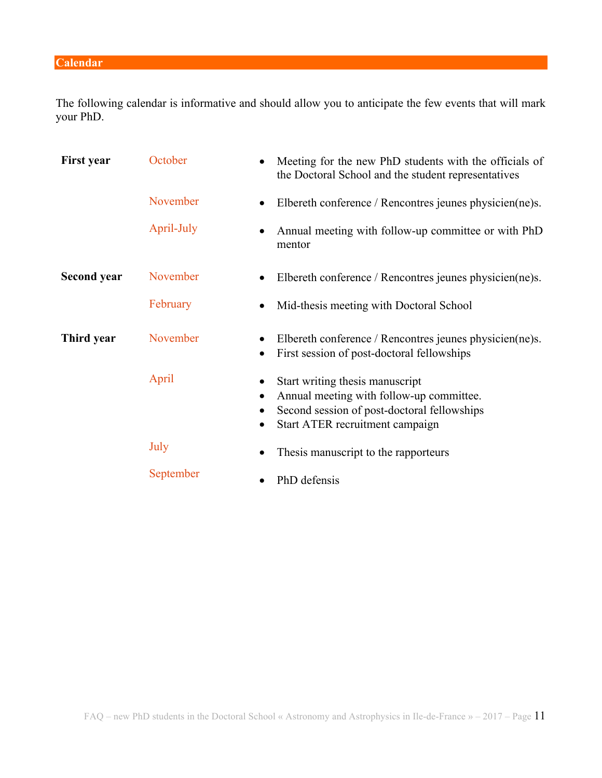The following calendar is informative and should allow you to anticipate the few events that will mark your PhD.

| <b>First year</b>  | October    | Meeting for the new PhD students with the officials of<br>the Doctoral School and the student representatives                                                 |
|--------------------|------------|---------------------------------------------------------------------------------------------------------------------------------------------------------------|
|                    | November   | Elbereth conference / Rencontres jeunes physicien(ne)s.                                                                                                       |
|                    | April-July | Annual meeting with follow-up committee or with PhD<br>mentor                                                                                                 |
| <b>Second year</b> | November   | Elbereth conference / Rencontres jeunes physicien(ne)s.                                                                                                       |
|                    | February   | Mid-thesis meeting with Doctoral School                                                                                                                       |
| Third year         | November   | Elbereth conference / Rencontres jeunes physicien(ne)s.<br>First session of post-doctoral fellowships<br>$\bullet$                                            |
|                    | April      | Start writing thesis manuscript<br>Annual meeting with follow-up committee.<br>Second session of post-doctoral fellowships<br>Start ATER recruitment campaign |
| July               |            | Thesis manuscript to the rapporteurs                                                                                                                          |
|                    | September  | PhD defensis                                                                                                                                                  |